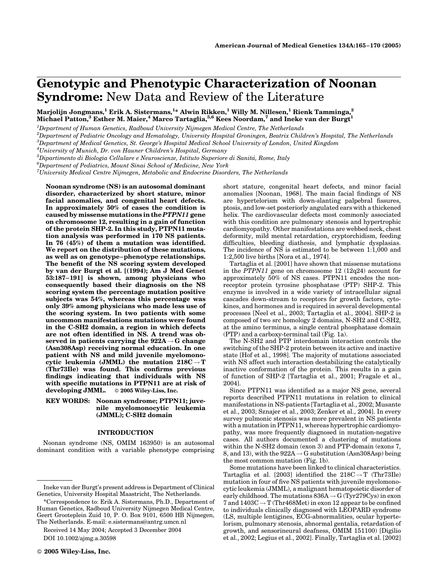# Genotypic and Phenotypic Characterization of Noonan Syndrome: New Data and Review of the Literature

Marjolijn Jongmans, $^1$  Erik A. Sistermans, $^{1*}$  Alwin Rikken, $^1$  Willy M. Nillesen, $^1$  Rienk Tamminga, $^2$ Michael Patton, $^3$  Esther M. Maier, $^4$  Marco Tartaglia, $^{5,6}$  Kees Noordam, $^7$  and Ineke van der Burgt $^1$ 

 $^{\rm 1}$ Department of Human Genetics, Radboud University Nijmegen Medical Centre, The Netherlands

2 Department of Pediatric Oncology and Hematology, University Hospital Groningen, Beatrix Children's Hospital, The Netherlands

3 Department of Medical Genetics, St. George's Hospital Medical School University of London, United Kingdom

 $^4$ University of Munich, Dr. von Hauner Children's Hospital, Germany

 ${}^5$ Dipartimento di Biologia Cellulare e Neuroscienze, Istituto Superiore di Sanità, Rome, Italy<br> ${}^6$ Department of Padiatries, Mount Singi Sebool of Madiaine, New York

 $^6$ Department of Pediatrics, Mount Sinai School of Medicine, New York

 $^7$ University Medical Centre Nijmegen, Metabolic and Endocrine Disorders, The Netherlands

Noonan syndrome (NS) is an autosomal dominant disorder, characterized by short stature, minor facial anomalies, and congenital heart defects. In approximately 50% of cases the condition is caused by missense mutations in the PTPN11 gene on chromosome 12, resulting in a gain of function of the protein SHP-2. In this study, PTPN11 mutation analysis was performed in 170 NS patients. In 76 (45%) of them a mutation was identified. We report on the distribution of these mutations, as well as on genotype–phenotype relationships. The benefit of the NS scoring system developed by van der Burgt et al. [(1994); Am J Med Genet 53:187–191] is shown, among physicians who consequently based their diagnosis on the NS scoring system the percentage mutation positive subjects was 54%, whereas this percentage was only 39% among physicians who made less use of the scoring system. In two patients with some uncommon manifestations mutations were found in the C-SH2 domain, a region in which defects are not often identified in NS. A trend was observed in patients carrying the  $922A \rightarrow G$  change (Asn308Asp) receiving normal education. In one patient with NS and mild juvenile myelomonocytic leukemia (JMML) the mutation  $218C \rightarrow T$ (Thr73Ile) was found. This confirms previous findings indicating that individuals with NS with specific mutations in PTPN11 are at risk of developing JMML. © 2005 Wiley-Liss, Inc.

# KEY WORDS: Noonan syndrome; PTPN11; juvenile myelomonocytic leukemia (JMML); C-SH2 domain

## INTRODUCTION

Noonan syndrome (NS, OMIM 163950) is an autosomal dominant condition with a variable phenotype comprising

Received 14 May 2004; Accepted 3 December 2004 DOI 10.1002/ajmg.a.30598

2005 Wiley-Liss, Inc.

short stature, congenital heart defects, and minor facial anomalies [Noonan, 1968]. The main facial findings of NS are hypertelorism with down-slanting palpebral fissures, ptosis, and low-set posteriorly angulated ears with a thickened helix. The cardiovascular defects most commonly associated with this condition are pulmonary stenosis and hypertrophic cardiomyopathy. Other manifestations are webbed neck, chest deformity, mild mental retardation, cryptorchidism, feeding difficulties, bleeding diathesis, and lymphatic dysplasias. The incidence of NS is estimated to be between 1:1,000 and 1:2,500 live births [Nora et al., 1974].

Tartaglia et al. [2001] have shown that missense mutations in the PTPN11 gene on chromosome  $12(12q24)$  account for approximately 50% of NS cases. PTPN11 encodes the nonreceptor protein tyrosine phosphatase (PTP) SHP-2. This enzyme is involved in a wide variety of intracellular signal cascades down-stream to receptors for growth factors, cytokines, and hormones and is required in several developmental processes [Neel et al., 2003; Tartaglia et al., 2004]. SHP-2 is composed of two src homology 2 domains, N-SH2 and C-SH2, at the amino terminus, a single central phosphatase domain (PTP) and a carboxy-terminal tail (Fig. 1a).

The N-SH2 and PTP interdomain interaction controls the switching of the SHP-2 protein between its active and inactive state [Hof et al., 1998]. The majority of mutations associated with NS affect such interaction destabilizing the catalytically inactive conformation of the protein. This results in a gain of function of SHP-2 [Tartaglia et al., 2001; Fragale et al., 2004].

Since PTPN11 was identified as a major NS gene, several reports described PTPN11 mutations in relation to clinical manifestations in NS-patients [Tartaglia et al., 2002; Musante et al., 2003; Sznajer et al., 2003; Zenker et al., 2004]. In every survey pulmonic stenosis was more prevalent in NS patients with a mutation in PTPN11, whereas hypertrophic cardiomyopathy, was more frequently diagnosed in mutation-negative cases. All authors documented a clustering of mutations within the N-SH2 domain (exon 3) and PTP-domain (exons 7, 8, and 13), with the  $922A \rightarrow G$  substitution (Asn308Asp) being the most common mutation (Fig. 1b).

Some mutations have been linked to clinical characteristics. Tartaglia et al. [2003] identified the  $218C \rightarrow T$  (Thr73Ile) mutation in four of five NS patients with juvenile myelomonocytic leukemia (JMML), a malignant hematopoietic disorder of early childhood. The mutations  $836A \rightarrow G$  (Tyr279Cys) in exon 7 and  $1403C \rightarrow T$  (Thr468Met) in exon 12 appear to be confined to individuals clinically diagnosed with LEOPARD syndrome (LS, multiple lentigines, ECG-abnormalities, ocular hypertelorism, pulmonary stenosis, abnormal gentalia, retardation of growth, and sensorineural deafness, OMIM 151100) [Digilio et al., 2002; Legius et al., 2002]. Finally, Tartaglia et al. [2002]

Ineke van der Burgt's present address is Department of Clinical Genetics, University Hospital Maastricht, The Netherlands.

<sup>\*</sup>Correspondence to: Erik A. Sistermans, Ph.D., Department of Human Genetics, Radboud University Nijmegen Medical Centre, Geert Grooteplein Zuid 10, P. O. Box 9101, 6500 HB Nijmegen, The Netherlands. E-mail: e.sistermans@antrg.umcn.nl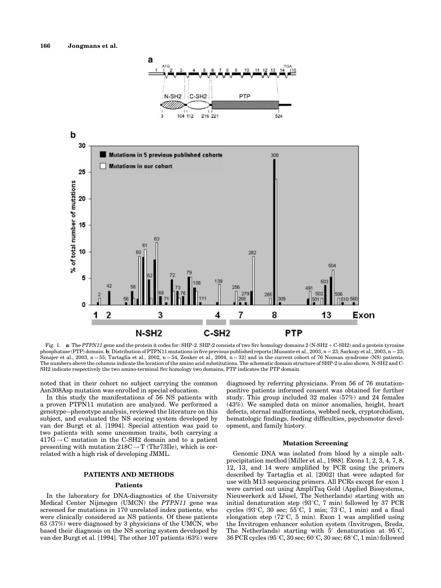

Fig. 1. a: The PTPN11 gene and the protein it codes for: SHP-2. SHP-2 consists of two Src homology domains 2 (N-SH2 + C-SH2) and a protein tyrosine phosphatase (PTP) domain. b: Distribution of PTPN11 mutations in five previous published reports [Musante et al., 2003, n = 23; Sarkozy et al., 2003, n = 23; Sznajer et al., 2003, n = 55; Tartaglia et al., 2002, n = 54, Zenker et al., 2004, n = 32] and in the current cohort of 76 Noonan syndrome (NS) patients. The numbers above the columns indicate the location of the amino acid substitutions. The schematic domain structure of SHP-2 is also shown. N-SH2 and C-SH2 indicate respectively the two amino-terminal Src homology two domains, PTP indicates the PTP domain.

noted that in their cohort no subject carrying the common Asn308Asp mutation was enrolled in special education.

In this study the manifestations of 56 NS patients with a proven PTPN11 mutation are analyzed. We performed a genotype–phenotype analysis, reviewed the literature on this subject, and evaluated the NS scoring system developed by van der Burgt et al. [1994]. Special attention was paid to two patients with some uncommon traits, both carrying a  $417\overline{G} \rightarrow C$  mutation in the C-SH2 domain and to a patient presenting with mutation  $218C \rightarrow T$  (Thr73Ile), which is correlated with a high risk of developing JMML.

# PATIENTS AND METHODS

## Patients

In the laboratory for DNA-diagnostics of the University Medical Center Nijmegen (UMCN) the PTPN11 gene was screened for mutations in 170 unrelated index patients, who were clinically considered as NS patients. Of these patients 63 (37%) were diagnosed by 3 physicians of the UMCN, who based their diagnosis on the NS scoring system developed by van der Burgt et al. [1994]. The other 107 patients (63%) were diagnosed by referring physicians. From 56 of 76 mutationpositive patients informed consent was obtained for further study. This group included 32 males (57%) and 24 females (43%). We sampled data on minor anomalies, height, heart defects, sternal malformations, webbed neck, cryptorchidism, hematologic findings, feeding difficulties, psychomotor development, and family history.

### Mutation Screening

Genomic DNA was isolated from blood by a simple saltprecipitation method [Miller et al., 1988]. Exons 1, 2, 3, 4, 7, 8, 12, 13, and 14 were amplified by PCR using the primers described by Tartaglia et al. [2002] that were adapted for use with M13 sequencing primers. All PCRs except for exon 1 were carried out using AmpliTaq Gold (Applied Biosystems, Nieuwerkerk a/d IJssel, The Netherlands) starting with an initial denaturation step ( $93^{\circ}$ C, 7 min) followed by 37 PCR cycles (93°C, 30 sec;  $55^{\circ}$ C, 1 min; 73°C, 1 min) and a final elongation step (72 $\textdegree$ C, 5 min). Exon 1 was amplified using the Invitrogen enhancer solution system (Invitrogen, Breda, The Netherlands) starting with  $5'$  denaturation at  $95^{\circ}$ C, 36 PCR cycles (95°C, 30 sec; 60°C, 30 sec; 68°C, 1 min) followed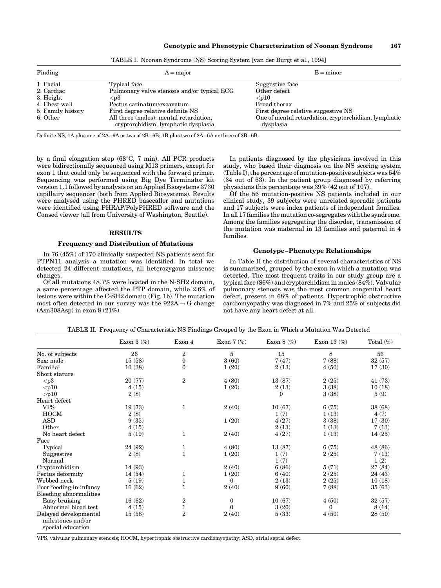| Finding           | $A = major$                                                                   | $B = minor$                                                       |  |  |
|-------------------|-------------------------------------------------------------------------------|-------------------------------------------------------------------|--|--|
| 1. Facial         | Typical face                                                                  | Suggestive face                                                   |  |  |
| 2. Cardiac        | Pulmonary valve stenosis and/or typical ECG                                   | Other defect                                                      |  |  |
| 3. Height         | $<$ p $3$                                                                     | $10$                                                              |  |  |
| 4. Chest wall     | Pectus carinatum/excavatum                                                    | Broad thorax                                                      |  |  |
| 5. Family history | First degree relative definite NS                                             | First degree relative suggestive NS                               |  |  |
| 6. Other          | All three (males): mental retardation,<br>cryptorchidism, lymphatic dysplasia | One of mental retardation, cryptorchidism, lymphatic<br>dysplasia |  |  |

TABLE I. Noonan Syndrome (NS) Scoring System [van der Burgt et al., 1994]

Definite NS, 1A plus one of 2A–6A or two of 2B–6B; 1B plus two of 2A–6A or three of 2B–6B.

by a final elongation step  $(68^{\circ}C, 7 \text{ min})$ . All PCR products were bidirectionally sequenced using M13 primers, except for exon 1 that could only be sequenced with the forward primer. Sequencing was performed using Big Dye Terminator kit version 1.1 followed by analysis on an Applied Biosystems 3730 capillairy sequencer (both from Applied Biosystems). Results were analysed using the PHRED basecaller and mutations were identified using PHRAP/PolyPHRED software and the Consed viewer (all from University of Washington, Seattle).

# RESULTS

# Frequency and Distribution of Mutations

In 76 (45%) of 170 clinically suspected NS patients sent for PTPN11 analysis a mutation was identified. In total we detected 24 different mutations, all heterozygous missense changes.

Of all mutations 48.7% were located in the N-SH2 domain, a same percentage affected the PTP domain, while 2.6% of lesions were within the C-SH2 domain (Fig. 1b). The mutation most often detected in our survey was the  $922A \rightarrow G$  change (Asn308Asp) in exon 8 (21%).

In patients diagnosed by the physicians involved in this study, who based their diagnosis on the NS scoring system (Table I), the percentage of mutation-positive subjects was 54% (34 out of 63). In the patient group diagnosed by referring physicians this percentage was 39% (42 out of 107).

Of the 56 mutation-positive NS patients included in our clinical study, 39 subjects were unrelated sporadic patients and 17 subjects were index patients of independent families. In all 17 families the mutation co-segregates with the syndrome. Among the families segregating the disorder, transmission of the mutation was maternal in 13 families and paternal in 4 families.

## Genotype–Phenotype Relationships

In Table II the distribution of several characteristics of NS is summarized, grouped by the exon in which a mutation was detected. The most frequent traits in our study group are a typical face (86%) and cryptorchidism in males (84%). Valvular pulmonary stenosis was the most common congenital heart defect, present in 68% of patients. Hypertrophic obstructive cardiomyopathy was diagnosed in 7% and 25% of subjects did not have any heart defect at all.

|                                                                 | Exon $3(\%)$ | Exon 4           | Exon $7$ $(\%)$ | Exon $8$ $(\%)$ | Exon 13 $(\%)$ | Total $(\%)$ |
|-----------------------------------------------------------------|--------------|------------------|-----------------|-----------------|----------------|--------------|
| No. of subjects                                                 | 26           | $\overline{2}$   | 5               | 15              | 8              | 56           |
| Sex: male                                                       | 15(58)       | $\boldsymbol{0}$ | 3(60)           | 7(47)           | 7(88)          | 32(57)       |
| Familial                                                        | 10(38)       | $\boldsymbol{0}$ | 1(20)           | 2(13)           | 4(50)          | 17(30)       |
| Short stature                                                   |              |                  |                 |                 |                |              |
| $<$ p $3$                                                       | 20 (77)      | $\boldsymbol{2}$ | 4(80)           | 13 (87)         | 2(25)          | 41 (73)      |
| $p10$                                                           | 4(15)        |                  | 1(20)           | 2(13)           | 3(38)          | 10(18)       |
| $>$ p $10$                                                      | 2(8)         |                  |                 | $\Omega$        | 3(38)          | 5(9)         |
| Heart defect                                                    |              |                  |                 |                 |                |              |
| <b>VPS</b>                                                      | 19 (73)      | $\mathbf{1}$     | 2(40)           | 10(67)          | 6(75)          | 38 (68)      |
| <b>HOCM</b>                                                     | 2(8)         |                  |                 | 1(7)            | 1(13)          | 4(7)         |
| <b>ASD</b>                                                      | 9(35)        |                  | 1(20)           | 4(27)           | 3(38)          | 17(30)       |
| Other                                                           | 4(15)        |                  |                 | 2(13)           | 1(13)          | 7(13)        |
| No heart defect                                                 | 5(19)        | $\mathbf{1}$     | 2(40)           | 4(27)           | 1(13)          | 14(25)       |
| Face                                                            |              |                  |                 |                 |                |              |
| Typical                                                         | 24 (92)      | $\mathbf{1}$     | 4(80)           | 13(87)          | 6(75)          | 48 (86)      |
| Suggestive                                                      | 2(8)         | $\mathbf{1}$     | 1(20)           | 1(7)            | 2(25)          | 7(13)        |
| Normal                                                          |              |                  |                 | 1(7)            |                | 1(2)         |
| Cryptorchidism                                                  | 14 (93)      |                  | 2(40)           | 6(86)           | 5(71)          | 27 (84)      |
| Pectus deformity                                                | 14(54)       | 1                | 1(20)           | 6(40)           | 2(25)          | 24 (43)      |
| Webbed neck                                                     | 5(19)        | $\mathbf 1$      | $\Omega$        | 2(13)           | 2(25)          | 10(18)       |
| Poor feeding in infancy                                         | 16(62)       | $\mathbf{1}$     | 2(40)           | 9(60)           | 7(88)          | 35(63)       |
| Bleeding abnormalities                                          |              |                  |                 |                 |                |              |
| Easy bruising                                                   | 16(62)       | $\,2$            | 0               | 10(67)          | 4(50)          | 32(57)       |
| Abnormal blood test                                             | 4(15)        | $\mathbf{1}$     | $\theta$        | 3(20)           | 0              | 8(14)        |
| Delayed developmental<br>milestones and/or<br>special education | 15(58)       | $\overline{2}$   | 2(40)           | 5(33)           | 4(50)          | 28(50)       |

TABLE II. Frequency of Characteristic NS Findings Grouped by the Exon in Which a Mutation Was Detected

VPS, valvular pulmonary stenosis; HOCM, hypertrophic obstructive cardiomyopathy; ASD, atrial septal defect.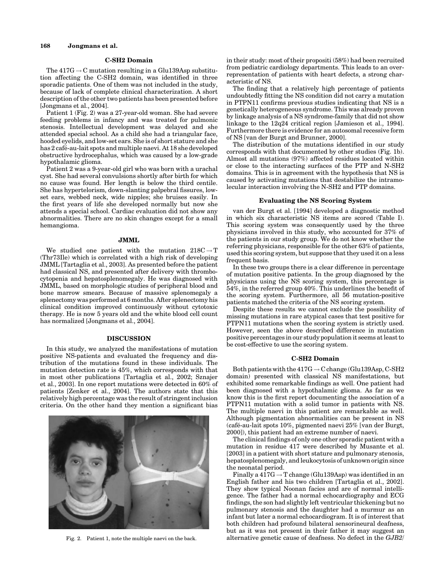### C-SH2 Domain

The  $417G \rightarrow C$  mutation resulting in a Glu139Asp substitution affecting the C-SH2 domain, was identified in three sporadic patients. One of them was not included in the study, because of lack of complete clinical characterization. A short description of the other two patients has been presented before [Jongmans et al., 2004].

Patient 1 (Fig. 2) was a 27-year-old woman. She had severe feeding problems in infancy and was treated for pulmonic stenosis. Intellectual development was delayed and she attended special school. As a child she had a triangular face, hooded eyelids, and low-set ears. She is of short stature and she has 2 café-au-lait spots and multiple naevi. At 18 she developed obstructive hydrocephalus, which was caused by a low-grade hypothalamic glioma.

Patient 2 was a 9-year-old girl who was born with a urachal cyst. She had several convulsions shortly after birth for which no cause was found. Her length is below the third centile. She has hypertelorism, down-slanting palpebral fissures, lowset ears, webbed neck, wide nipples; she bruises easily. In the first years of life she developed normally but now she attends a special school. Cardiac evaluation did not show any abnormalities. There are no skin changes except for a small hemangioma.

# JMML

We studied one patient with the mutation  $218C \rightarrow T$ (Thr73Ile) which is correlated with a high risk of developing JMML [Tartaglia et al., 2003]. As presented before the patient had classical NS, and presented after delivery with thrombocytopenia and hepatosplenomegaly. He was diagnosed with JMML, based on morphologic studies of peripheral blood and bone marrow smears. Because of massive splenomegaly a splenectomy was performed at 6 months. After splenectomy his clinical condition improved continuously without cytotoxic therapy. He is now 5 years old and the white blood cell count has normalized [Jongmans et al., 2004].

# DISCUSSION

In this study, we analyzed the manifestations of mutation positive NS-patients and evaluated the frequency and distribution of the mutations found in these individuals. The mutation detection rate is 45%, which corresponds with that in most other publications [Tartaglia et al., 2002; Sznajer et al., 2003]. In one report mutations were detected in 60% of patients [Zenker et al., 2004]. The authors state that this relatively high percentage was the result of stringent inclusion criteria. On the other hand they mention a significant bias



in their study: most of their propositi (58%) had been recruited from pediatric cardiology departments. This leads to an overrepresentation of patients with heart defects, a strong characteristic of NS.

The finding that a relatively high percentage of patients undoubtedly fitting the NS condition did not carry a mutation in PTPN11 confirms previous studies indicating that NS is a genetically heterogeneous syndrome. This was already proven by linkage analysis of a NS syndrome-family that did not show linkage to the 12q24 critical region [Jamieson et al., 1994]. Furthermore there is evidence for an autosomal recessive form of NS [van der Burgt and Brunner, 2000].

The distribution of the mutations identified in our study corresponds with that documented by other studies (Fig. 1b). Almost all mutations (97%) affected residues located within or close to the interacting surfaces of the PTP and N-SH2 domains. This is in agreement with the hypothesis that NS is caused by activating mutations that destabilize the intramolecular interaction involving the N-SH2 and PTP domains.

# Evaluating the NS Scoring System

van der Burgt et al. [1994] developed a diagnostic method in which six characteristic NS items are scored (Table I). This scoring system was consequently used by the three physicians involved in this study, who accounted for 37% of the patients in our study group. We do not know whether the referring physicians, responsible for the other 63% of patients, used this scoring system, but suppose that they used it on a less frequent basis.

In these two groups there is a clear difference in percentage of mutation positive patients. In the group diagnosed by the physicians using the NS scoring system, this percentage is 54%, in the referred group 40%. This underlines the benefit of the scoring system. Furthermore, all 56 mutation-positive patients matched the criteria of the NS scoring system.

Despite these results we cannot exclude the possibility of missing mutations in rare atypical cases that test positive for PTPN11 mutations when the scoring system is strictly used. However, seen the above described difference in mutation positive percentages in our study population it seems at least to be cost-effective to use the scoring system.

# C-SH2 Domain

Both patients with the  $417G \rightarrow C$  change (Glu139Asp, C-SH2 domain) presented with classical NS manifestations, but exhibited some remarkable findings as well. One patient had been diagnosed with a hypothalamic glioma. As far as we know this is the first report documenting the association of a PTPN11 mutation with a solid tumor in patients with NS. The multiple naevi in this patient are remarkable as well. Although pigmentation abnormalities can be present in NS (café-au-lait spots 10%, pigmented naevi 25% [van der Burgt, 2000]), this patient had an extreme number of naevi.

The clinical findings of only one other sporadic patient with a mutation in residue 417 were described by Musante et al. [2003] in a patient with short stature and pulmonary stenosis, hepatosplenomegaly, and leukocytosis of unknown origin since the neonatal period.

Finally a  $417G \rightarrow T$  change (Glu139Asp) was identified in an English father and his two children [Tartaglia et al., 2002]. They show typical Noonan facies and are of normal intelligence. The father had a normal echocardiography and ECG findings, the son had slightly left ventricular thickening but no pulmonary stenosis and the daughter had a murmur as an infant but later a normal echocardiogram. It is of interest that both children had profound bilateral sensorineural deafness, but as it was not present in their father it may suggest an Fig. 2. Patient 1, note the multiple naevi on the back. alternative genetic cause of deafness. No defect in the GJB2/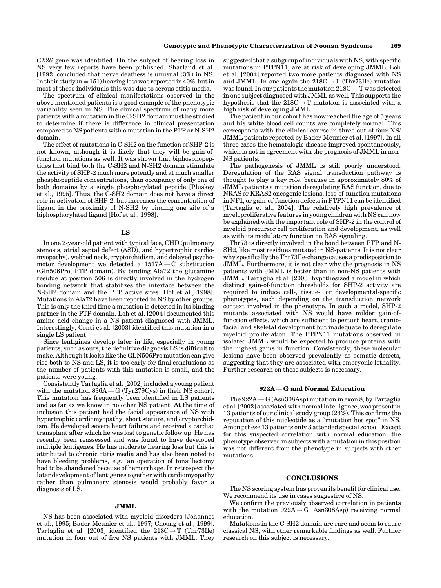CX26 gene was identified. On the subject of hearing loss in NS very few reports have been published. Sharland et al. [1992] concluded that nerve deafness is unusual (3%) in NS. In their study  $(n = 151)$  hearing loss was reported in 40%, but in most of these individuals this was due to serous otitis media.

The spectrum of clinical manifestations observed in the above mentioned patients is a good example of the phenotypic variability seen in NS. The clinical spectrum of many more patients with a mutation in the C-SH2 domain must be studied to determine if there is difference in clinical presentation compared to NS patients with a mutation in the PTP or N-SH2 domain.

The effect of mutations in C-SH2 on the function of SHP-2 is not known, although it is likely that they will be gain-offunction mutations as well. It was shown that biphosphopeptides that bind both the C-SH2 and N-SH2 domain stimulate the activity of SHP-2 much more potently and at much smaller phosphopeptide concentrations, than occupancy of only one of both domains by a single phosphorylated peptide [Pluskey et al., 1995]. Thus, the C-SH2 domain does not have a direct role in activation of SHP-2, but increases the concentration of ligand in the proximity of N-SH2 by binding one site of a biphosphorylated ligand [Hof et al., 1998].

# LS

In one 2-year-old patient with typical face, CHD (pulmonary stenosis, atrial septal defect (ASD), and hypertrophic cardiomyopathy), webbed neck, cryptorchidism, and delayed psychomotor development we detected a  $1517A \rightarrow C$  substitution (Gln506Pro, PTP domain). By binding Ala72 the glutamine residue at position 506 is directly involved in the hydrogen bonding network that stabilizes the interface between the N-SH2 domain and the PTP active sites [Hof et al., 1998]. Mutations in Ala72 have been reported in NS by other groups. This is only the third time a mutation is detected in its binding partner in the PTP domain. Loh et al. [2004] documented this amino acid change in a NS patient diagnosed with JMML. Interestingly, Conti et al. [2003] identified this mutation in a single LS patient.

Since lentigines develop later in life, especially in young patients, such as ours, the definitive diagnosis LS is difficult to make. Although it looks like the GLN506Pro mutation can give rise both to NS and LS, it is too early for final conclusions as the number of patients with this mutation is small, and the patients were young.

Consistently Tartaglia et al. [2002] included a young patient with the mutation  $836A \!\rightarrow\! G$  (Tyr279Cys) in their NS cohort. This mutation has frequently been identified in LS patients and as far as we know in no other NS patient. At the time of inclusion this patient had the facial appearance of NS with hypertrophic cardiomyopathy, short stature, and cryptorchidism. He developed severe heart failure and received a cardiac transplant after which he was lost to genetic follow up. He has recently been reassessed and was found to have developed multiple lentigenes. He has moderate hearing loss but this is attributed to chronic otitis media and has also been noted to have bleeding problems, e.g., an operation of tonsillectomy had to be abandoned because of hemorrhage. In retrospect the later development of lentigenes together with cardiomyopathy rather than pulmonary stenosis would probably favor a diagnosis of LS.

## JMML

NS has been associated with myeloid disorders [Johannes et al., 1995; Bader-Meunier et al., 1997; Choong et al., 1999]. Tartaglia et al. [2003] identified the  $218C \rightarrow T$  (Thr73Ile) mutation in four out of five NS patients with JMML. They suggested that a subgroup of individuals with NS, with specific mutations in PTPN11, are at risk of developing JMML. Loh et al. [2004] reported two more patients diagnosed with NS and JMML. In one again the  $218C \rightarrow T$  (Thr73Ile) mutation was found. In our patients the mutation  $218C \rightarrow T$  was detected in one subject diagnosed with JMML as well. This supports the hypothesis that the  $218C \rightarrow T$  mutation is associated with a high risk of developing JMML.

The patient in our cohort has now reached the age of 5 years and his white blood cell counts are completely normal. This corresponds with the clinical course in three out of four NS/ JMML patients reported by Bader-Meunier et al. [1997]. In all three cases the hematologic disease improved spontaneously, which is not in agreement with the prognosis of JMML in non-NS patients.

The pathogenesis of JMML is still poorly understood. Deregulation of the RAS signal transduction pathway is thought to play a key role, because in approximately 80% of JMML patients a mutation deregulating RAS function, due to NRAS or KRAS2 oncogenic lesions, loss-of-function mutations in NF1, or gain-of-function defects in PTPN11 can be identified [Tartaglia et al., 2004]. The relatively high prevalence of myeloproliferative features in young children with NS can now be explained with the important role of SHP-2 in the control of myeloid precursor cell proliferation and development, as well as with its modulatory function on RAS signaling.

Thr73 is directly involved in the bond between PTP and N-SH2, like most residues mutated in NS-patients. It is not clear why specifically the Thr73Ile-change causes a predisposition to JMML. Furthermore, it is not clear why the prognosis in NS patients with JMML is better than in non-NS patients with JMML. Tartaglia et al. [2003] hypothesized a model in which distinct gain-of-function thresholds for SHP-2 activity are required to induce cell-, tissue-, or developmental-specific phenotypes, each depending on the transduction network context involved in the phenotype. In such a model, SHP-2 mutants associated with NS would have milder gain-offunction effects, which are sufficient to perturb heart, craniofacial and skeletal development but inadequate to deregulate myeloid proliferation. The PTPN11 mutations observed in isolated JMML would be expected to produce proteins with the highest gains in function. Consistently, these molecular lesions have been observed prevalently as somatic defects, suggesting that they are associated with embryonic lethality. Further research on these subjects is necessary.

## $922A \rightarrow G$  and Normal Education

The  $922A \rightarrow G(Asn308Asp)$  mutation in exon 8, by Tartaglia et al. [2002] associated with normal intelligence, was present in 13 patients of our clinical study group (23%). This confirms the reputation of this nucleotide as a ''mutation hot spot'' in NS. Among these 13 patients only 3 attended special school. Except for this suspected correlation with normal education, the phenotype observed in subjects with a mutation in this position was not different from the phenotype in subjects with other mutations.

# **CONCLUSIONS**

The NS scoring system has proven its benefit for clinical use. We recommend its use in cases suggestive of NS.

We confirm the previously observed correlation in patients with the mutation  $922A \rightarrow G$  (Asn308Asp) receiving normal education.

Mutations in the C-SH2 domain are rare and seem to cause classical NS, with other remarkable findings as well. Further research on this subject is necessary.